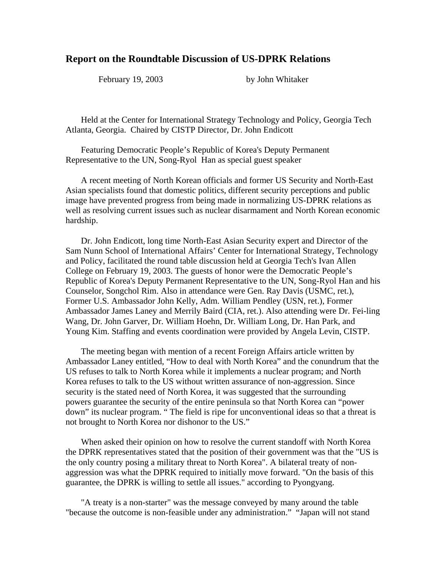## **Report on the Roundtable Discussion of US-DPRK Relations**

February 19, 2003 by John Whitaker

 Held at the Center for International Strategy Technology and Policy, Georgia Tech Atlanta, Georgia. Chaired by CISTP Director, Dr. John Endicott

 Featuring Democratic People's Republic of Korea's Deputy Permanent Representative to the UN, Song-Ryol Han as special guest speaker

 A recent meeting of North Korean officials and former US Security and North-East Asian specialists found that domestic politics, different security perceptions and public image have prevented progress from being made in normalizing US-DPRK relations as well as resolving current issues such as nuclear disarmament and North Korean economic hardship.

 Dr. John Endicott, long time North-East Asian Security expert and Director of the Sam Nunn School of International Affairs' Center for International Strategy, Technology and Policy, facilitated the round table discussion held at Georgia Tech's Ivan Allen College on February 19, 2003. The guests of honor were the Democratic People's Republic of Korea's Deputy Permanent Representative to the UN, Song-Ryol Han and his Counselor, Songchol Rim. Also in attendance were Gen. Ray Davis (USMC, ret.), Former U.S. Ambassador John Kelly, Adm. William Pendley (USN, ret.), Former Ambassador James Laney and Merrily Baird (CIA, ret.). Also attending were Dr. Fei-ling Wang, Dr. John Garver, Dr. William Hoehn, Dr. William Long, Dr. Han Park, and Young Kim. Staffing and events coordination were provided by Angela Levin, CISTP.

 The meeting began with mention of a recent Foreign Affairs article written by Ambassador Laney entitled, "How to deal with North Korea" and the conundrum that the US refuses to talk to North Korea while it implements a nuclear program; and North Korea refuses to talk to the US without written assurance of non-aggression. Since security is the stated need of North Korea, it was suggested that the surrounding powers guarantee the security of the entire peninsula so that North Korea can "power down" its nuclear program. " The field is ripe for unconventional ideas so that a threat is not brought to North Korea nor dishonor to the US."

 When asked their opinion on how to resolve the current standoff with North Korea the DPRK representatives stated that the position of their government was that the "US is the only country posing a military threat to North Korea". A bilateral treaty of nonaggression was what the DPRK required to initially move forward. "On the basis of this guarantee, the DPRK is willing to settle all issues." according to Pyongyang.

 "A treaty is a non-starter" was the message conveyed by many around the table "because the outcome is non-feasible under any administration." "Japan will not stand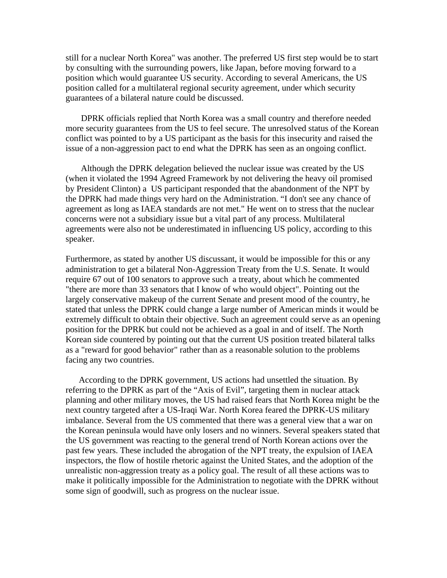still for a nuclear North Korea" was another. The preferred US first step would be to start by consulting with the surrounding powers, like Japan, before moving forward to a position which would guarantee US security. According to several Americans, the US position called for a multilateral regional security agreement, under which security guarantees of a bilateral nature could be discussed.

 DPRK officials replied that North Korea was a small country and therefore needed more security guarantees from the US to feel secure. The unresolved status of the Korean conflict was pointed to by a US participant as the basis for this insecurity and raised the issue of a non-aggression pact to end what the DPRK has seen as an ongoing conflict.

 Although the DPRK delegation believed the nuclear issue was created by the US (when it violated the 1994 Agreed Framework by not delivering the heavy oil promised by President Clinton) a US participant responded that the abandonment of the NPT by the DPRK had made things very hard on the Administration. "I don't see any chance of agreement as long as IAEA standards are not met." He went on to stress that the nuclear concerns were not a subsidiary issue but a vital part of any process. Multilateral agreements were also not be underestimated in influencing US policy, according to this speaker.

Furthermore, as stated by another US discussant, it would be impossible for this or any administration to get a bilateral Non-Aggression Treaty from the U.S. Senate. It would require 67 out of 100 senators to approve such a treaty, about which he commented "there are more than 33 senators that I know of who would object". Pointing out the largely conservative makeup of the current Senate and present mood of the country, he stated that unless the DPRK could change a large number of American minds it would be extremely difficult to obtain their objective. Such an agreement could serve as an opening position for the DPRK but could not be achieved as a goal in and of itself. The North Korean side countered by pointing out that the current US position treated bilateral talks as a "reward for good behavior" rather than as a reasonable solution to the problems facing any two countries.

 According to the DPRK government, US actions had unsettled the situation. By referring to the DPRK as part of the "Axis of Evil", targeting them in nuclear attack planning and other military moves, the US had raised fears that North Korea might be the next country targeted after a US-Iraqi War. North Korea feared the DPRK-US military imbalance. Several from the US commented that there was a general view that a war on the Korean peninsula would have only losers and no winners. Several speakers stated that the US government was reacting to the general trend of North Korean actions over the past few years. These included the abrogation of the NPT treaty, the expulsion of IAEA inspectors, the flow of hostile rhetoric against the United States, and the adoption of the unrealistic non-aggression treaty as a policy goal. The result of all these actions was to make it politically impossible for the Administration to negotiate with the DPRK without some sign of goodwill, such as progress on the nuclear issue.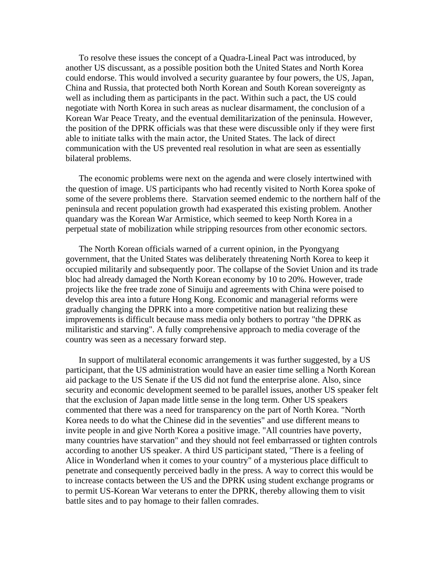To resolve these issues the concept of a Quadra-Lineal Pact was introduced, by another US discussant, as a possible position both the United States and North Korea could endorse. This would involved a security guarantee by four powers, the US, Japan, China and Russia, that protected both North Korean and South Korean sovereignty as well as including them as participants in the pact. Within such a pact, the US could negotiate with North Korea in such areas as nuclear disarmament, the conclusion of a Korean War Peace Treaty, and the eventual demilitarization of the peninsula. However, the position of the DPRK officials was that these were discussible only if they were first able to initiate talks with the main actor, the United States. The lack of direct communication with the US prevented real resolution in what are seen as essentially bilateral problems.

 The economic problems were next on the agenda and were closely intertwined with the question of image. US participants who had recently visited to North Korea spoke of some of the severe problems there. Starvation seemed endemic to the northern half of the peninsula and recent population growth had exasperated this existing problem. Another quandary was the Korean War Armistice, which seemed to keep North Korea in a perpetual state of mobilization while stripping resources from other economic sectors.

 The North Korean officials warned of a current opinion, in the Pyongyang government, that the United States was deliberately threatening North Korea to keep it occupied militarily and subsequently poor. The collapse of the Soviet Union and its trade bloc had already damaged the North Korean economy by 10 to 20%. However, trade projects like the free trade zone of Sinuiju and agreements with China were poised to develop this area into a future Hong Kong. Economic and managerial reforms were gradually changing the DPRK into a more competitive nation but realizing these improvements is difficult because mass media only bothers to portray "the DPRK as militaristic and starving". A fully comprehensive approach to media coverage of the country was seen as a necessary forward step.

 In support of multilateral economic arrangements it was further suggested, by a US participant, that the US administration would have an easier time selling a North Korean aid package to the US Senate if the US did not fund the enterprise alone. Also, since security and economic development seemed to be parallel issues, another US speaker felt that the exclusion of Japan made little sense in the long term. Other US speakers commented that there was a need for transparency on the part of North Korea. "North Korea needs to do what the Chinese did in the seventies" and use different means to invite people in and give North Korea a positive image. "All countries have poverty, many countries have starvation" and they should not feel embarrassed or tighten controls according to another US speaker. A third US participant stated, "There is a feeling of Alice in Wonderland when it comes to your country" of a mysterious place difficult to penetrate and consequently perceived badly in the press. A way to correct this would be to increase contacts between the US and the DPRK using student exchange programs or to permit US-Korean War veterans to enter the DPRK, thereby allowing them to visit battle sites and to pay homage to their fallen comrades.